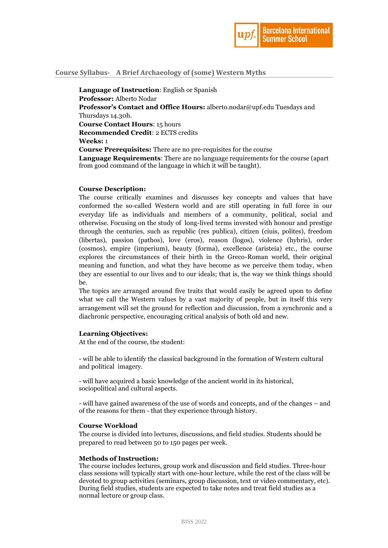

## **Course Syllabus- A Brief Archaeology of (some) Western Myths**

**Language of Instruction**: English or Spanish **Professor:** Alberto Nodar **Professor's Contact and Office Hours:** alberto.nodar@upf.edu Tuesdays and Thursdays 14.30h. **Course Contact Hours**: 15 hours **Recommended Credit**: 2 ECTS credits **Weeks:** 1 **Course Prerequisites:** There are no pre-requisites for the course **Language Requirements**: There are no language requirements for the course (apart from good command of the language in which it will be taught).

### **Course Description:**

The course critically examines and discusses key concepts and values that have conformed the so-called Western world and are still operating in full force in our everyday life as individuals and members of a community, political, social and otherwise. Focusing on the study of long-lived terms invested with honour and prestige through the centuries, such as republic (res publica), citizen (ciuis, polites), freedom (libertas), passion (pathos), love (eros), reason (logos), violence (hybris), order (cosmos), empire (imperium), beauty (forma), excellence (aristeia) etc., the course explores the circumstances of their birth in the Greco-Roman world, their original meaning and function, and what they have become as we perceive them today, when they are essential to our lives and to our ideals; that is, the way we think things should be.

The topics are arranged around five traits that would easily be agreed upon to define what we call the Western values by a vast majority of people, but in itself this very arrangement will set the ground for reflection and discussion, from a synchronic and a diachronic perspective, encouraging critical analysis of both old and new.

## **Learning Objectives:**

At the end of the course, the student:

- will be able to identify the classical background in the formation of Western cultural and political imagery.

- will have acquired a basic knowledge of the ancient world in its historical, sociopolitical and cultural aspects.

- will have gained awareness of the use of words and concepts, and of the changes – and of the reasons for them - that they experience through history.

#### **Course Workload**

The course is divided into lectures, discussions, and field studies. Students should be prepared to read between 50 to 150 pages per week.

#### **Methods of Instruction:**

The course includes lectures, group work and discussion and field studies. Three-hour class sessions will typically start with one-hour lecture, while the rest of the class will be devoted to group activities (seminars, group discussion, text or video commentary, etc). During field studies, students are expected to take notes and treat field studies as a normal lecture or group class.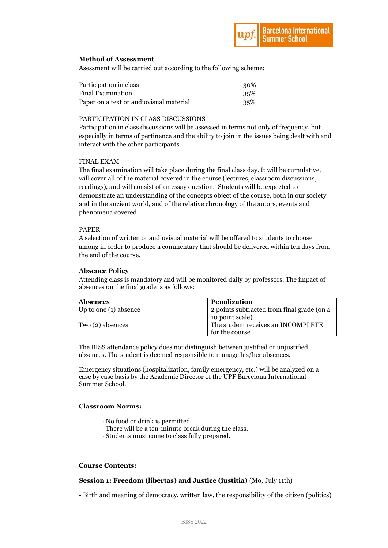# **Method of Assessment**

Asessment will be carried out according to the following scheme:

| Participation in class                  | 30% |
|-----------------------------------------|-----|
| Final Examination                       | 35% |
| Paper on a text or audiovisual material | 35% |

## PARTICIPATION IN CLASS DISCUSSIONS

Participation in class discussions will be assessed in terms not only of frequency, but especially in terms of pertinence and the ability to join in the issues being dealt with and interact with the other participants.

## FINAL EXAM

The final examination will take place during the final class day. It will be cumulative, will cover all of the material covered in the course (lectures, classroom discussions, readings), and will consist of an essay question. Students will be expected to demonstrate an understanding of the concepts object of the course, both in our society and in the ancient world, and of the relative chronology of the autors, events and phenomena covered.

## PAPER

A selection of written or audiovisual material will be offered to students to choose among in order to produce a commentary that should be delivered within ten days from the end of the course.

## **Absence Policy**

Attending class is mandatory and will be monitored daily by professors. The impact of absences on the final grade is as follows:

| <b>Absences</b>         | <b>Penalization</b>                        |
|-------------------------|--------------------------------------------|
| Up to one $(1)$ absence | 2 points subtracted from final grade (on a |
|                         | 10 point scale).                           |
| Two (2) absences        | The student receives an INCOMPLETE         |
|                         | for the course                             |

The BISS attendance policy does not distinguish between justified or unjustified absences. The student is deemed responsible to manage his/her absences.

Emergency situations (hospitalization, family emergency, etc.) will be analyzed on a case by case basis by the Academic Director of the UPF Barcelona International Summer School.

### **Classroom Norms:**

- · No food or drink is permitted.
- · There will be a ten-minute break during the class.
- · Students must come to class fully prepared.

### **Course Contents:**

# **Session 1: Freedom (libertas) and Justice (iustitia)** (Mo, July 11th)

- Birth and meaning of democracy, written law, the responsibility of the citizen (politics)